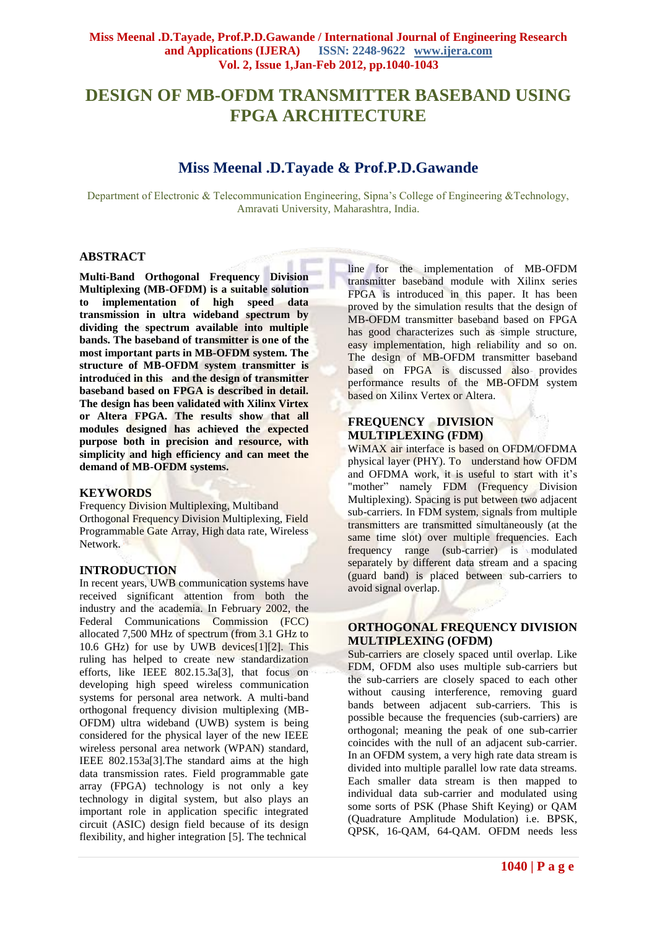# **DESIGN OF MB-OFDM TRANSMITTER BASEBAND USING FPGA ARCHITECTURE**

## **Miss Meenal .D.Tayade & Prof.P.D.Gawande**

Department of Electronic & Telecommunication Engineering, Sipna's College of Engineering &Technology, Amravati University, Maharashtra, India.

## **ABSTRACT**

**Multi-Band Orthogonal Frequency Division Multiplexing (MB-OFDM) is a suitable solution to implementation of high speed data transmission in ultra wideband spectrum by dividing the spectrum available into multiple bands. The baseband of transmitter is one of the most important parts in MB-OFDM system. The structure of MB-OFDM system transmitter is introduced in this and the design of transmitter baseband based on FPGA is described in detail. The design has been validated with Xilinx Virtex or Altera FPGA. The results show that all modules designed has achieved the expected purpose both in precision and resource, with simplicity and high efficiency and can meet the demand of MB-OFDM systems.**

## **KEYWORDS**

Frequency Division Multiplexing, Multiband Orthogonal Frequency Division Multiplexing, Field Programmable Gate Array, High data rate, Wireless Network.

## **INTRODUCTION**

In recent years, UWB communication systems have received significant attention from both the industry and the academia. In February 2002, the Federal Communications Commission (FCC) allocated 7,500 MHz of spectrum (from 3.1 GHz to 10.6 GHz) for use by UWB devices[1][2]. This ruling has helped to create new standardization efforts, like IEEE 802.15.3a[3], that focus on developing high speed wireless communication systems for personal area network. A multi-band orthogonal frequency division multiplexing (MB-OFDM) ultra wideband (UWB) system is being considered for the physical layer of the new IEEE wireless personal area network (WPAN) standard, IEEE 802.153a[3].The standard aims at the high data transmission rates. Field programmable gate array (FPGA) technology is not only a key technology in digital system, but also plays an important role in application specific integrated circuit (ASIC) design field because of its design flexibility, and higher integration [5]. The technical

line for the implementation of MB-OFDM transmitter baseband module with Xilinx series FPGA is introduced in this paper. It has been proved by the simulation results that the design of MB-OFDM transmitter baseband based on FPGA has good characterizes such as simple structure, easy implementation, high reliability and so on. The design of MB-OFDM transmitter baseband based on FPGA is discussed also provides performance results of the MB-OFDM system based on Xilinx Vertex or Altera.

## **FREQUENCY DIVISION MULTIPLEXING (FDM)**

WiMAX air interface is based on OFDM/OFDMA physical layer (PHY). To understand how OFDM and OFDMA work, it is useful to start with it's "mother" namely FDM (Frequency Division Multiplexing). Spacing is put between two adjacent sub-carriers. In FDM system, signals from multiple transmitters are transmitted simultaneously (at the same time slot) over multiple frequencies. Each frequency range (sub-carrier) is modulated separately by different data stream and a spacing (guard band) is placed between sub-carriers to avoid signal overlap.

## **ORTHOGONAL FREQUENCY DIVISION MULTIPLEXING (OFDM)**

Sub-carriers are closely spaced until overlap. Like FDM, OFDM also uses multiple sub-carriers but the sub-carriers are closely spaced to each other without causing interference, removing guard bands between adjacent sub-carriers. This is possible because the frequencies (sub-carriers) are orthogonal; meaning the peak of one sub-carrier coincides with the null of an adjacent sub-carrier. In an OFDM system, a very high rate data stream is divided into multiple parallel low rate data streams. Each smaller data stream is then mapped to individual data sub-carrier and modulated using some sorts of PSK (Phase Shift Keying) or QAM (Quadrature Amplitude Modulation) i.e. BPSK, QPSK, 16-QAM, 64-QAM. OFDM needs less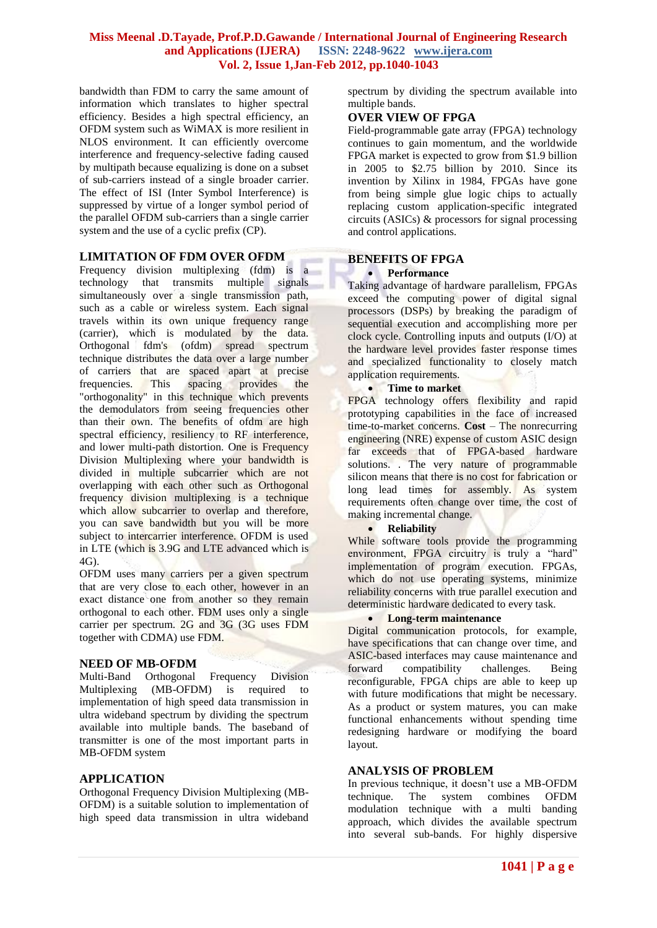## **Miss Meenal .D.Tayade, Prof.P.D.Gawande / International Journal of Engineering Research and Applications (IJERA) ISSN: 2248-9622 www.ijera.com Vol. 2, Issue 1,Jan-Feb 2012, pp.1040-1043**

bandwidth than FDM to carry the same amount of information which translates to higher spectral efficiency. Besides a high spectral efficiency, an OFDM system such as WiMAX is more resilient in NLOS environment. It can efficiently overcome interference and frequency-selective fading caused by multipath because equalizing is done on a subset of sub-carriers instead of a single broader carrier. The effect of ISI (Inter Symbol Interference) is suppressed by virtue of a longer symbol period of the parallel OFDM sub-carriers than a single carrier system and the use of a cyclic prefix (CP).

## **LIMITATION OF FDM OVER OFDM**

Frequency division multiplexing (fdm) is a technology that transmits multiple signals simultaneously over a single transmission path, such as a cable or wireless system. Each signal travels within its own unique frequency range (carrier), which is modulated by the data. Orthogonal fdm's (ofdm) spread spectrum technique distributes the data over a large number of carriers that are spaced apart at precise frequencies. This spacing provides the "orthogonality" in this technique which prevents the demodulators from seeing frequencies other than their own. The benefits of ofdm are high spectral efficiency, resiliency to RF interference, and lower multi-path distortion. One is Frequency Division Multiplexing where your bandwidth is divided in multiple subcarrier which are not overlapping with each other such as Orthogonal frequency division multiplexing is a technique which allow subcarrier to overlap and therefore, you can save bandwidth but you will be more subject to intercarrier interference. OFDM is used in LTE (which is 3.9G and LTE advanced which is 4G).

OFDM uses many carriers per a given spectrum that are very close to each other, however in an exact distance one from another so they remain orthogonal to each other. FDM uses only a single carrier per spectrum. 2G and 3G (3G uses FDM together with CDMA) use FDM.

## **NEED OF MB-OFDM**

Multi-Band Orthogonal Frequency Division Multiplexing (MB-OFDM) is required to implementation of high speed data transmission in ultra wideband spectrum by dividing the spectrum available into multiple bands. The baseband of transmitter is one of the most important parts in MB-OFDM system

## **APPLICATION**

Orthogonal Frequency Division Multiplexing (MB-OFDM) is a suitable solution to implementation of high speed data transmission in ultra wideband

spectrum by dividing the spectrum available into multiple bands.

## **OVER VIEW OF FPGA**

Field-programmable gate array (FPGA) technology continues to gain momentum, and the worldwide FPGA market is expected to grow from \$1.9 billion in 2005 to  $$2.75$  billion by 2010. Since its invention by Xilinx in 1984, FPGAs have gone from being simple glue logic chips to actually replacing custom application-specific integrated circuits (ASICs) & processors for signal processing and control applications.

## **BENEFITS OF FPGA**

#### **Performance**

Taking advantage of hardware parallelism, FPGAs exceed the computing power of digital signal processors (DSPs) by breaking the paradigm of sequential execution and accomplishing more per clock cycle. Controlling inputs and outputs (I/O) at the hardware level provides faster response times and specialized functionality to closely match application requirements.

## **•** Time to market

FPGA technology offers flexibility and rapid prototyping capabilities in the face of increased time-to-market concerns. **Cost** – The nonrecurring engineering (NRE) expense of custom ASIC design far exceeds that of FPGA-based hardware solutions. . The very nature of programmable silicon means that there is no cost for fabrication or long lead times for assembly. As system requirements often change over time, the cost of making incremental change.

#### **•** Reliability

While software tools provide the programming environment. FPGA circuitry is truly a "hard" implementation of program execution. FPGAs, which do not use operating systems, minimize reliability concerns with true parallel execution and deterministic hardware dedicated to every task.

#### **Long-term maintenance**

Digital communication protocols, for example, have specifications that can change over time, and ASIC-based interfaces may cause maintenance and forward compatibility challenges. Being reconfigurable, FPGA chips are able to keep up with future modifications that might be necessary. As a product or system matures, you can make functional enhancements without spending time redesigning hardware or modifying the board layout.

#### **ANALYSIS OF PROBLEM**

In previous technique, it doesn't use a MB-OFDM technique. The system combines OFDM modulation technique with a multi banding approach, which divides the available spectrum into several sub-bands. For highly dispersive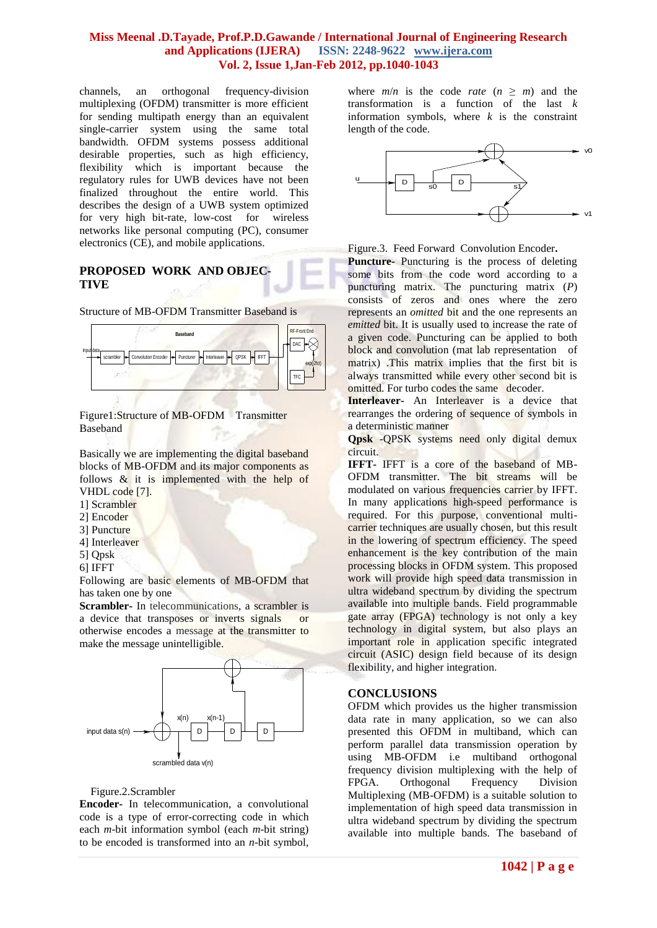## **Miss Meenal .D.Tayade, Prof.P.D.Gawande / International Journal of Engineering Research and Applications (IJERA) ISSN: 2248-9622 www.ijera.com Vol. 2, Issue 1,Jan-Feb 2012, pp.1040-1043**

channels, an orthogonal frequency-division multiplexing (OFDM) transmitter is more efficient for sending multipath energy than an equivalent single-carrier system using the same total bandwidth. OFDM systems possess additional desirable properties, such as high efficiency, flexibility which is important because the regulatory rules for UWB devices have not been finalized throughout the entire world. This describes the design of a UWB system optimized for very high bit-rate, low-cost for wireless networks like personal computing (PC), consumer electronics (CE), and mobile applications.

## **PROPOSED WORK AND OBJEC-TIVE**

Structure of MB-OFDM Transmitter Baseband is



Figure1:Structure of MB-OFDM Transmitter Baseband

Basically we are implementing the digital baseband blocks of MB-OFDM and its major components as follows & it is implemented with the help of VHDL code [7].

- 1] Scrambler
- 2] Encoder
- 3] Puncture
- 4] Interleaver
- 5] Qpsk
- 6] IFFT

Following are basic elements of MB-OFDM that has taken one by one

**Scrambler-** In [telecommunications,](http://en.wikipedia.org/wiki/Telecommunication) a scrambler is a device that transposes or inverts signals or otherwise encodes a [message](http://en.wikipedia.org/wiki/Message) at the transmitter to make the message unintelligible.



#### Figure.2.Scrambler

**Encoder-** In [telecommunication,](http://en.wikipedia.org/wiki/Telecommunication) a convolutional code is a type of [error-correcting code](http://en.wikipedia.org/wiki/Error-correcting_code) in which each *m*[-bit](http://en.wikipedia.org/wiki/Bit) [information](http://en.wikipedia.org/wiki/Information) symbol (each *m*[-bit string\)](http://en.wikipedia.org/wiki/Binary_string) to be encoded is transformed into an *n*-bit symbol,

where  $m/n$  is the code *rate*  $(n \ge m)$  and the transformation is a function of the last *k* information symbols, where  $k$  is the constraint length of the code.



Figure.3. Feed Forward Convolution Encoder**.**

**Puncture-** Puncturing is the process of deleting some bits from the code word according to a puncturing matrix. The puncturing matrix (*P*) consists of zeros and ones where the zero represents an *omitted* bit and the one represents an *emitted* bit. It is usually used to increase the rate of a given code. Puncturing can be applied to both block and convolution (mat lab representation of matrix) .This matrix implies that the first bit is always transmitted while every other second bit is omitted. For turbo codes the same decoder.

**Interleaver-** An Interleaver is a device that rearranges the ordering of sequence of symbols in a deterministic manner

**Qpsk** -QPSK systems need only digital demux circuit.

**IFFT-** IFFT is a core of the baseband of MB-OFDM transmitter. The bit streams will be modulated on various frequencies carrier by IFFT. In many applications high-speed performance is required. For this purpose, conventional multicarrier techniques are usually chosen, but this result in the lowering of spectrum efficiency. The speed enhancement is the key contribution of the main processing blocks in OFDM system. This proposed work will provide high speed data transmission in ultra wideband spectrum by dividing the spectrum available into multiple bands. Field programmable gate array (FPGA) technology is not only a key technology in digital system, but also plays an important role in application specific integrated circuit (ASIC) design field because of its design flexibility, and higher integration.

## **CONCLUSIONS**

OFDM which provides us the higher transmission data rate in many application, so we can also presented this OFDM in multiband, which can perform parallel data transmission operation by using MB-OFDM i.e multiband orthogonal frequency division multiplexing with the help of FPGA. Orthogonal Frequency Division Multiplexing (MB-OFDM) is a suitable solution to implementation of high speed data transmission in ultra wideband spectrum by dividing the spectrum available into multiple bands. The baseband of